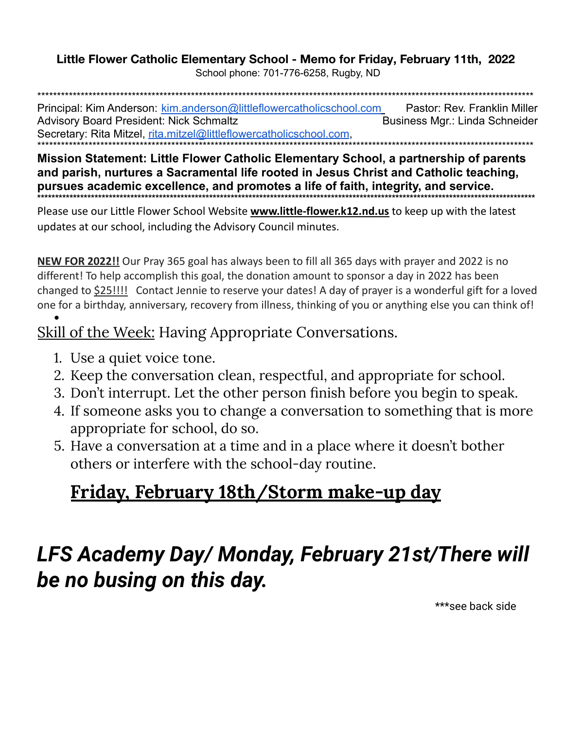## Little Flower Catholic Elementary School - Memo for Friday, February 11th, 2022

School phone: 701-776-6258, Rugby, ND

Principal: Kim Anderson: kim.anderson@littleflowercatholicschool.com Pastor: Rev. Franklin Miller **Advisory Board President: Nick Schmaltz** Business Mgr.: Linda Schneider Secretary: Rita Mitzel, rita.mitzel@littleflowercatholicschool.com.

Mission Statement: Little Flower Catholic Elementary School, a partnership of parents and parish, nurtures a Sacramental life rooted in Jesus Christ and Catholic teaching, pursues academic excellence, and promotes a life of faith, integrity, and service.

Please use our Little Flower School Website **www.little-flower.k12.nd.us** to keep up with the latest updates at our school, including the Advisory Council minutes.

NEW FOR 2022!! Our Pray 365 goal has always been to fill all 365 days with prayer and 2022 is no different! To help accomplish this goal, the donation amount to sponsor a day in 2022 has been changed to \$25!!!! Contact Jennie to reserve your dates! A day of prayer is a wonderful gift for a loved one for a birthday, anniversary, recovery from illness, thinking of you or anything else you can think of!

### **Skill of the Week: Having Appropriate Conversations.**

- 1. Use a quiet voice tone.
- 2. Keep the conversation clean, respectful, and appropriate for school.
- 3. Don't interrupt. Let the other person finish before you begin to speak.
- 4. If someone asks you to change a conversation to something that is more appropriate for school, do so.
- 5. Have a conversation at a time and in a place where it doesn't bother others or interfere with the school-day routine.

## <u>Friday, February 18th/Storm make-up day</u>

# LFS Academy Day/ Monday, February 21st/There will be no busing on this day.

\*\*\*see back side